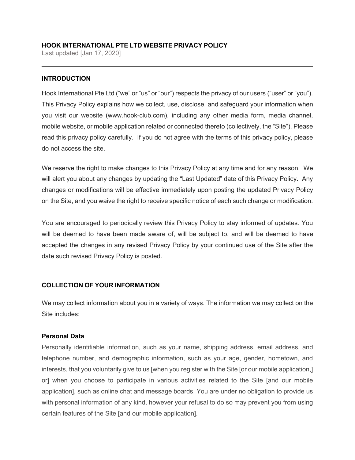## **HOOK INTERNATIONAL PTE LTD WEBSITE PRIVACY POLICY**

Last updated [Jan 17, 2020]

## **INTRODUCTION**

Hook International Pte Ltd ("we" or "us" or "our") respects the privacy of our users ("user" or "you"). This Privacy Policy explains how we collect, use, disclose, and safeguard your information when you visit our website (www.hook-club.com), including any other media form, media channel, mobile website, or mobile application related or connected thereto (collectively, the "Site"). Please read this privacy policy carefully. If you do not agree with the terms of this privacy policy, please do not access the site.

We reserve the right to make changes to this Privacy Policy at any time and for any reason. We will alert you about any changes by updating the "Last Updated" date of this Privacy Policy. Any changes or modifications will be effective immediately upon posting the updated Privacy Policy on the Site, and you waive the right to receive specific notice of each such change or modification.

You are encouraged to periodically review this Privacy Policy to stay informed of updates. You will be deemed to have been made aware of, will be subject to, and will be deemed to have accepted the changes in any revised Privacy Policy by your continued use of the Site after the date such revised Privacy Policy is posted.

# **COLLECTION OF YOUR INFORMATION**

We may collect information about you in a variety of ways. The information we may collect on the Site includes:

## **Personal Data**

Personally identifiable information, such as your name, shipping address, email address, and telephone number, and demographic information, such as your age, gender, hometown, and interests, that you voluntarily give to us [when you register with the Site [or our mobile application,] or] when you choose to participate in various activities related to the Site [and our mobile application], such as online chat and message boards. You are under no obligation to provide us with personal information of any kind, however your refusal to do so may prevent you from using certain features of the Site [and our mobile application].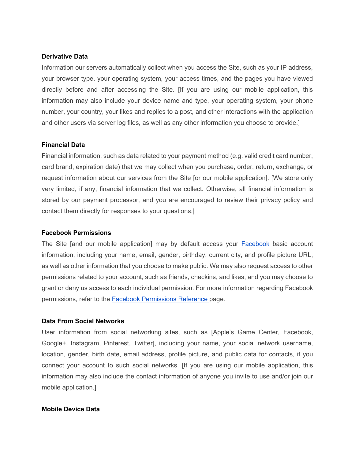#### **Derivative Data**

Information our servers automatically collect when you access the Site, such as your IP address, your browser type, your operating system, your access times, and the pages you have viewed directly before and after accessing the Site. [If you are using our mobile application, this information may also include your device name and type, your operating system, your phone number, your country, your likes and replies to a post, and other interactions with the application and other users via server log files, as well as any other information you choose to provide.]

#### **Financial Data**

Financial information, such as data related to your payment method (e.g. valid credit card number, card brand, expiration date) that we may collect when you purchase, order, return, exchange, or request information about our services from the Site [or our mobile application]. [We store only very limited, if any, financial information that we collect. Otherwise, all financial information is stored by our payment processor, and you are encouraged to review their privacy policy and contact them directly for responses to your questions.]

#### **Facebook Permissions**

The Site [and our mobile application] may by default access your Facebook basic account information, including your name, email, gender, birthday, current city, and profile picture URL, as well as other information that you choose to make public. We may also request access to other permissions related to your account, such as friends, checkins, and likes, and you may choose to grant or deny us access to each individual permission. For more information regarding Facebook permissions, refer to the Facebook Permissions Reference page.

#### **Data From Social Networks**

User information from social networking sites, such as [Apple's Game Center, Facebook, Google+, Instagram, Pinterest, Twitter], including your name, your social network username, location, gender, birth date, email address, profile picture, and public data for contacts, if you connect your account to such social networks. [If you are using our mobile application, this information may also include the contact information of anyone you invite to use and/or join our mobile application.]

#### **Mobile Device Data**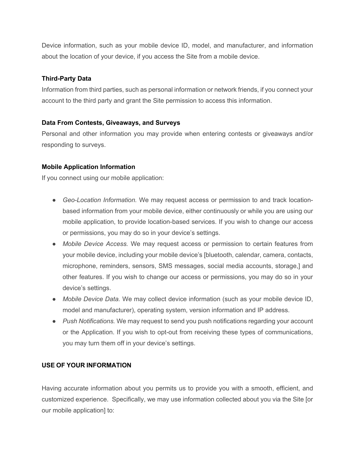Device information, such as your mobile device ID, model, and manufacturer, and information about the location of your device, if you access the Site from a mobile device.

## **Third-Party Data**

Information from third parties, such as personal information or network friends, if you connect your account to the third party and grant the Site permission to access this information.

## **Data From Contests, Giveaways, and Surveys**

Personal and other information you may provide when entering contests or giveaways and/or responding to surveys.

## **Mobile Application Information**

If you connect using our mobile application:

- *Geo-Location Information.* We may request access or permission to and track locationbased information from your mobile device, either continuously or while you are using our mobile application, to provide location-based services. If you wish to change our access or permissions, you may do so in your device's settings.
- *Mobile Device Access.* We may request access or permission to certain features from your mobile device, including your mobile device's [bluetooth, calendar, camera, contacts, microphone, reminders, sensors, SMS messages, social media accounts, storage,] and other features. If you wish to change our access or permissions, you may do so in your device's settings.
- *Mobile Device Data.* We may collect device information (such as your mobile device ID, model and manufacturer), operating system, version information and IP address.
- *Push Notifications.* We may request to send you push notifications regarding your account or the Application. If you wish to opt-out from receiving these types of communications, you may turn them off in your device's settings.

# **USE OF YOUR INFORMATION**

Having accurate information about you permits us to provide you with a smooth, efficient, and customized experience. Specifically, we may use information collected about you via the Site [or our mobile application] to: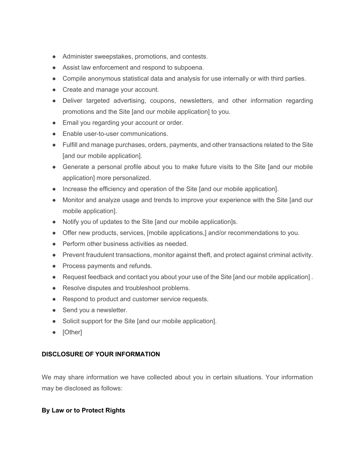- Administer sweepstakes, promotions, and contests.
- Assist law enforcement and respond to subpoena.
- Compile anonymous statistical data and analysis for use internally or with third parties.
- Create and manage your account.
- Deliver targeted advertising, coupons, newsletters, and other information regarding promotions and the Site [and our mobile application] to you.
- Email you regarding your account or order.
- Enable user-to-user communications.
- Fulfill and manage purchases, orders, payments, and other transactions related to the Site [and our mobile application].
- Generate a personal profile about you to make future visits to the Site [and our mobile application] more personalized.
- Increase the efficiency and operation of the Site [and our mobile application].
- Monitor and analyze usage and trends to improve your experience with the Site [and our mobile application].
- Notify you of updates to the Site [and our mobile application]s.
- Offer new products, services, [mobile applications,] and/or recommendations to you.
- Perform other business activities as needed.
- Prevent fraudulent transactions, monitor against theft, and protect against criminal activity.
- Process payments and refunds.
- Request feedback and contact you about your use of the Site [and our mobile application] .
- Resolve disputes and troubleshoot problems.
- Respond to product and customer service requests.
- Send you a newsletter.
- Solicit support for the Site [and our mobile application].
- [Other]

## **DISCLOSURE OF YOUR INFORMATION**

We may share information we have collected about you in certain situations. Your information may be disclosed as follows:

## **By Law or to Protect Rights**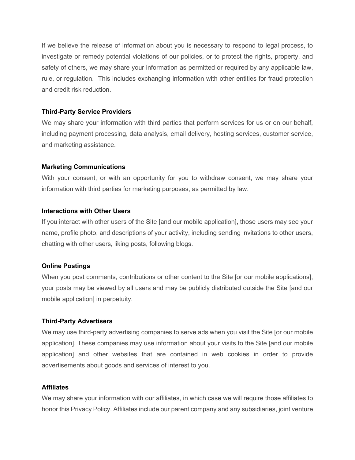If we believe the release of information about you is necessary to respond to legal process, to investigate or remedy potential violations of our policies, or to protect the rights, property, and safety of others, we may share your information as permitted or required by any applicable law, rule, or regulation. This includes exchanging information with other entities for fraud protection and credit risk reduction.

#### **Third-Party Service Providers**

We may share your information with third parties that perform services for us or on our behalf, including payment processing, data analysis, email delivery, hosting services, customer service, and marketing assistance.

#### **Marketing Communications**

With your consent, or with an opportunity for you to withdraw consent, we may share your information with third parties for marketing purposes, as permitted by law.

#### **Interactions with Other Users**

If you interact with other users of the Site [and our mobile application], those users may see your name, profile photo, and descriptions of your activity, including sending invitations to other users, chatting with other users, liking posts, following blogs.

#### **Online Postings**

When you post comments, contributions or other content to the Site [or our mobile applications], your posts may be viewed by all users and may be publicly distributed outside the Site [and our mobile application] in perpetuity.

#### **Third-Party Advertisers**

We may use third-party advertising companies to serve ads when you visit the Site [or our mobile application]. These companies may use information about your visits to the Site [and our mobile application] and other websites that are contained in web cookies in order to provide advertisements about goods and services of interest to you.

#### **Affiliates**

We may share your information with our affiliates, in which case we will require those affiliates to honor this Privacy Policy. Affiliates include our parent company and any subsidiaries, joint venture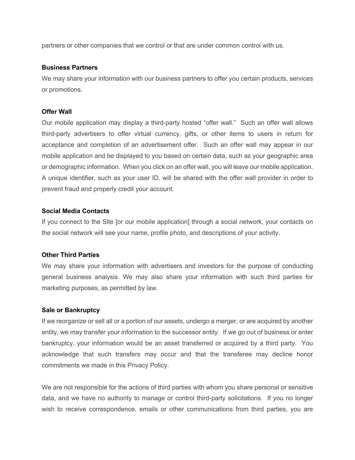partners or other companies that we control or that are under common control with us.

#### **Business Partners**

We may share your information with our business partners to offer you certain products, services or promotions.

### **Offer Wall**

Our mobile application may display a third-party hosted "offer wall." Such an offer wall allows third-party advertisers to offer virtual currency, gifts, or other items to users in return for acceptance and completion of an advertisement offer. Such an offer wall may appear in our mobile application and be displayed to you based on certain data, such as your geographic area or demographic information. When you click on an offer wall, you will leave our mobile application. A unique identifier, such as your user ID, will be shared with the offer wall provider in order to prevent fraud and properly credit your account.

## **Social Media Contacts**

If you connect to the Site [or our mobile application] through a social network, your contacts on the social network will see your name, profile photo, and descriptions of your activity.

#### **Other Third Parties**

We may share your information with advertisers and investors for the purpose of conducting general business analysis. We may also share your information with such third parties for marketing purposes, as permitted by law.

## **Sale or Bankruptcy**

If we reorganize or sell all or a portion of our assets, undergo a merger, or are acquired by another entity, we may transfer your information to the successor entity. If we go out of business or enter bankruptcy, your information would be an asset transferred or acquired by a third party. You acknowledge that such transfers may occur and that the transferee may decline honor commitments we made in this Privacy Policy.

We are not responsible for the actions of third parties with whom you share personal or sensitive data, and we have no authority to manage or control third-party solicitations. If you no longer wish to receive correspondence, emails or other communications from third parties, you are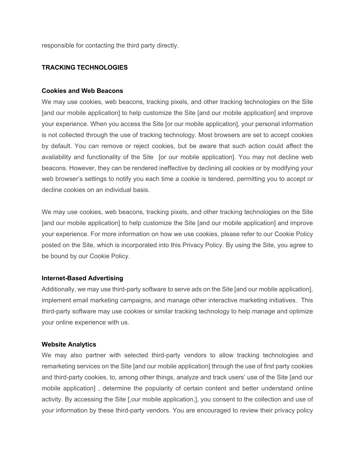responsible for contacting the third party directly.

## **TRACKING TECHNOLOGIES**

#### **Cookies and Web Beacons**

We may use cookies, web beacons, tracking pixels, and other tracking technologies on the Site [and our mobile application] to help customize the Site [and our mobile application] and improve your experience. When you access the Site [or our mobile application], your personal information is not collected through the use of tracking technology. Most browsers are set to accept cookies by default. You can remove or reject cookies, but be aware that such action could affect the availability and functionality of the Site [or our mobile application]. You may not decline web beacons. However, they can be rendered ineffective by declining all cookies or by modifying your web browser's settings to notify you each time a cookie is tendered, permitting you to accept or decline cookies on an individual basis.

We may use cookies, web beacons, tracking pixels, and other tracking technologies on the Site [and our mobile application] to help customize the Site [and our mobile application] and improve your experience. For more information on how we use cookies, please refer to our Cookie Policy posted on the Site, which is incorporated into this Privacy Policy. By using the Site, you agree to be bound by our Cookie Policy.

#### **Internet-Based Advertising**

Additionally, we may use third-party software to serve ads on the Site [and our mobile application], implement email marketing campaigns, and manage other interactive marketing initiatives. This third-party software may use cookies or similar tracking technology to help manage and optimize your online experience with us.

#### **Website Analytics**

We may also partner with selected third-party vendors to allow tracking technologies and remarketing services on the Site [and our mobile application] through the use of first party cookies and third-party cookies, to, among other things, analyze and track users' use of the Site [and our mobile application] , determine the popularity of certain content and better understand online activity. By accessing the Site [,our mobile application,], you consent to the collection and use of your information by these third-party vendors. You are encouraged to review their privacy policy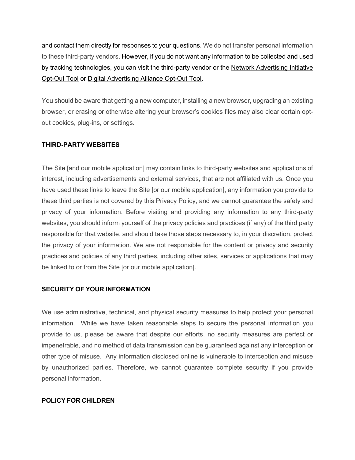and contact them directly for responses to your questions. We do not transfer personal information to these third-party vendors. However, if you do not want any information to be collected and used by tracking technologies, you can visit the third-party vendor or the Network Advertising Initiative Opt-Out Tool or Digital Advertising Alliance Opt-Out Tool.

You should be aware that getting a new computer, installing a new browser, upgrading an existing browser, or erasing or otherwise altering your browser's cookies files may also clear certain optout cookies, plug-ins, or settings.

## **THIRD-PARTY WEBSITES**

The Site [and our mobile application] may contain links to third-party websites and applications of interest, including advertisements and external services, that are not affiliated with us. Once you have used these links to leave the Site [or our mobile application], any information you provide to these third parties is not covered by this Privacy Policy, and we cannot guarantee the safety and privacy of your information. Before visiting and providing any information to any third-party websites, you should inform yourself of the privacy policies and practices (if any) of the third party responsible for that website, and should take those steps necessary to, in your discretion, protect the privacy of your information. We are not responsible for the content or privacy and security practices and policies of any third parties, including other sites, services or applications that may be linked to or from the Site [or our mobile application].

## **SECURITY OF YOUR INFORMATION**

We use administrative, technical, and physical security measures to help protect your personal information. While we have taken reasonable steps to secure the personal information you provide to us, please be aware that despite our efforts, no security measures are perfect or impenetrable, and no method of data transmission can be guaranteed against any interception or other type of misuse. Any information disclosed online is vulnerable to interception and misuse by unauthorized parties. Therefore, we cannot guarantee complete security if you provide personal information.

## **POLICY FOR CHILDREN**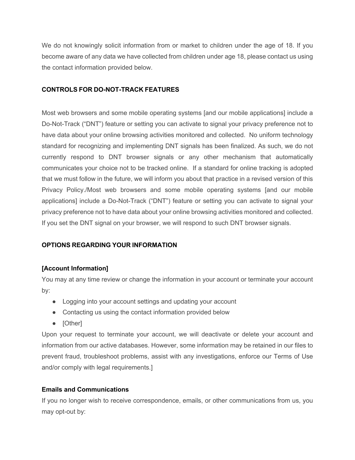We do not knowingly solicit information from or market to children under the age of 18. If you become aware of any data we have collected from children under age 18, please contact us using the contact information provided below.

# **CONTROLS FOR DO-NOT-TRACK FEATURES**

Most web browsers and some mobile operating systems [and our mobile applications] include a Do-Not-Track ("DNT") feature or setting you can activate to signal your privacy preference not to have data about your online browsing activities monitored and collected. No uniform technology standard for recognizing and implementing DNT signals has been finalized. As such, we do not currently respond to DNT browser signals or any other mechanism that automatically communicates your choice not to be tracked online. If a standard for online tracking is adopted that we must follow in the future, we will inform you about that practice in a revised version of this Privacy Policy./Most web browsers and some mobile operating systems [and our mobile applications] include a Do-Not-Track ("DNT") feature or setting you can activate to signal your privacy preference not to have data about your online browsing activities monitored and collected. If you set the DNT signal on your browser, we will respond to such DNT browser signals.

# **OPTIONS REGARDING YOUR INFORMATION**

# **[Account Information]**

You may at any time review or change the information in your account or terminate your account by:

- Logging into your account settings and updating your account
- Contacting us using the contact information provided below
- [Other]

Upon your request to terminate your account, we will deactivate or delete your account and information from our active databases. However, some information may be retained in our files to prevent fraud, troubleshoot problems, assist with any investigations, enforce our Terms of Use and/or comply with legal requirements.]

## **Emails and Communications**

If you no longer wish to receive correspondence, emails, or other communications from us, you may opt-out by: